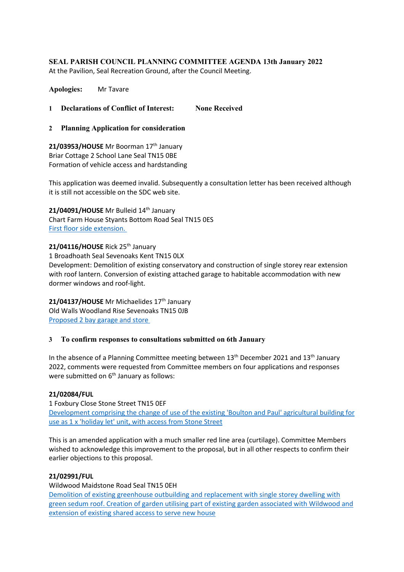## **SEAL PARISH COUNCIL PLANNING COMMITTEE AGENDA 13th January 2022**

At the Pavilion, Seal Recreation Ground, after the Council Meeting.

**Apologies:** Mr Tavare

**1 Declarations of Conflict of Interest: None Received**

**2 Planning Application for consideration**

21/03953/HOUSE Mr Boorman 17<sup>th</sup> January Briar Cottage 2 School Lane Seal TN15 0BE Formation of vehicle access and hardstanding

This application was deemed invalid. Subsequently a consultation letter has been received although it is still not accessible on the SDC web site.

21/04091/HOUSE Mr Bulleid 14<sup>th</sup> January Chart Farm House Styants Bottom Road Seal TN15 0ES [First floor side extension.](https://pa.sevenoaks.gov.uk/online-applications/applicationDetails.do?keyVal=R44710BKICF00&activeTab=summary)

21/04116/HOUSE Rick 25<sup>th</sup> January 1 Broadhoath Seal Sevenoaks Kent TN15 0LX Development: Demolition of existing conservatory and construction of single storey rear extension with roof lantern. Conversion of existing attached garage to habitable accommodation with new dormer windows and roof-light.

21/04137/HOUSE Mr Michaelides 17<sup>th</sup> January Old Walls Woodland Rise Sevenoaks TN15 0JB [Proposed 2 bay garage and store](https://pa.sevenoaks.gov.uk/online-applications/applicationDetails.do?keyVal=R49R2NBKIMA00&activeTab=summary)

## **3 To confirm responses to consultations submitted on 6th January**

In the absence of a Planning Committee meeting between  $13<sup>th</sup>$  December 2021 and  $13<sup>th</sup>$  January 2022, comments were requested from Committee members on four applications and responses were submitted on  $6<sup>th</sup>$  January as follows:

## **21/02084/FUL**

1 Foxbury Close Stone Street TN15 0EF [Development comprising the change of use of the existing 'Boulton and Paul' agricultural building for](https://pa.sevenoaks.gov.uk/online-applications/applicationDetails.do?keyVal=QVF5LTBKHXM00&activeTab=summary)  [use as 1 x 'holiday let' unit, with access from Stone Street](https://pa.sevenoaks.gov.uk/online-applications/applicationDetails.do?keyVal=QVF5LTBKHXM00&activeTab=summary)

This is an amended application with a much smaller red line area (curtilage). Committee Members wished to acknowledge this improvement to the proposal, but in all other respects to confirm their earlier objections to this proposal.

#### **21/02991/FUL**

Wildwood Maidstone Road Seal TN15 0EH [Demolition of existing greenhouse outbuilding and replacement with single storey dwelling with](https://pa.sevenoaks.gov.uk/online-applications/applicationDetails.do?keyVal=QZ86XIBKHBY00&activeTab=summary)  [green sedum roof. Creation of garden utilising part of existing garden associated with Wildwood and](https://pa.sevenoaks.gov.uk/online-applications/applicationDetails.do?keyVal=QZ86XIBKHBY00&activeTab=summary)  [extension of existing shared access to serve new house](https://pa.sevenoaks.gov.uk/online-applications/applicationDetails.do?keyVal=QZ86XIBKHBY00&activeTab=summary)